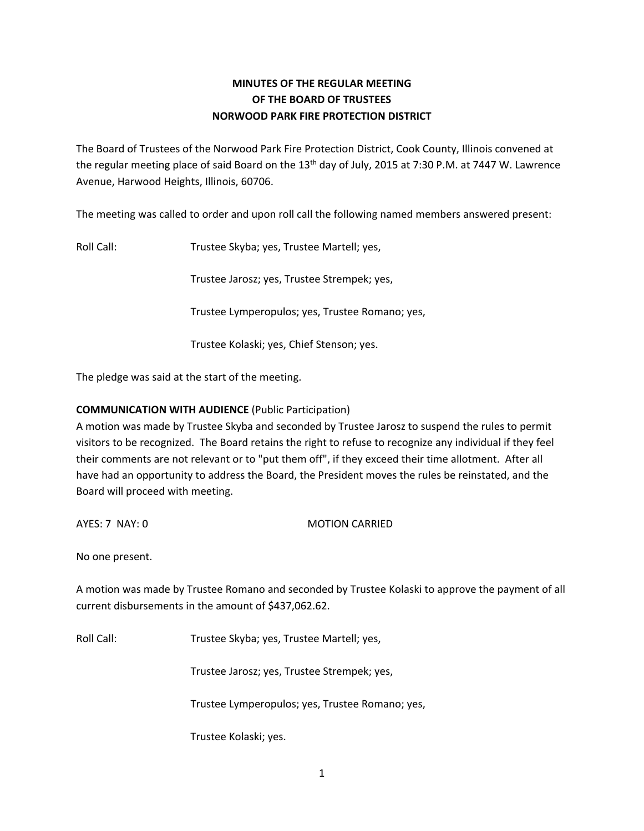# **MINUTES OF THE REGULAR MEETING OF THE BOARD OF TRUSTEES NORWOOD PARK FIRE PROTECTION DISTRICT**

The Board of Trustees of the Norwood Park Fire Protection District, Cook County, Illinois convened at the regular meeting place of said Board on the 13<sup>th</sup> day of July, 2015 at 7:30 P.M. at 7447 W. Lawrence Avenue, Harwood Heights, Illinois, 60706.

The meeting was called to order and upon roll call the following named members answered present:

Roll Call: Trustee Skyba; yes, Trustee Martell; yes,

Trustee Jarosz; yes, Trustee Strempek; yes,

Trustee Lymperopulos; yes, Trustee Romano; yes,

Trustee Kolaski; yes, Chief Stenson; yes.

The pledge was said at the start of the meeting.

## **COMMUNICATION WITH AUDIENCE** (Public Participation)

A motion was made by Trustee Skyba and seconded by Trustee Jarosz to suspend the rules to permit visitors to be recognized. The Board retains the right to refuse to recognize any individual if they feel their comments are not relevant or to "put them off", if they exceed their time allotment. After all have had an opportunity to address the Board, the President moves the rules be reinstated, and the Board will proceed with meeting.

AYES: 7 NAY: 0 MOTION CARRIED

No one present.

A motion was made by Trustee Romano and seconded by Trustee Kolaski to approve the payment of all current disbursements in the amount of \$437,062.62.

Roll Call: Trustee Skyba; yes, Trustee Martell; yes,

Trustee Jarosz; yes, Trustee Strempek; yes,

Trustee Lymperopulos; yes, Trustee Romano; yes,

Trustee Kolaski; yes.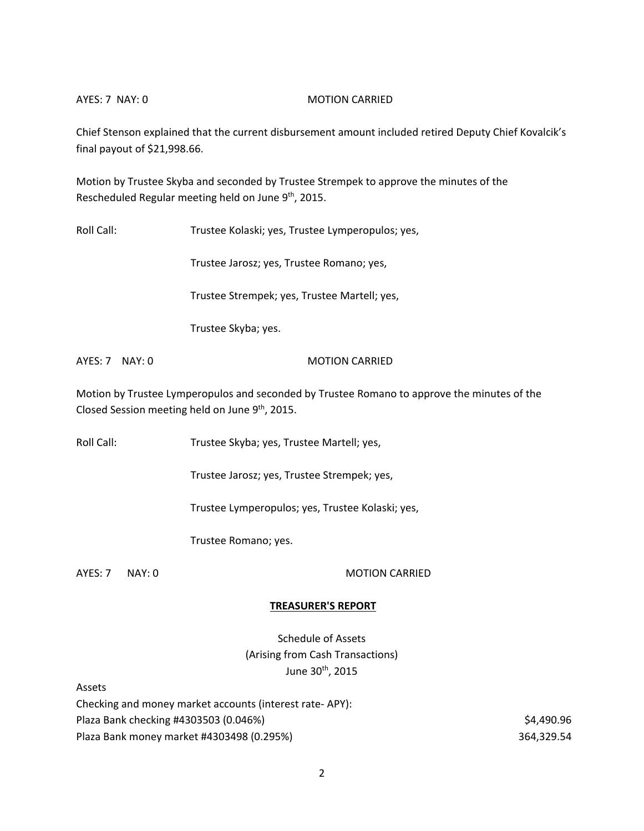#### AYES: 7 NAY: 0 MOTION CARRIED

Chief Stenson explained that the current disbursement amount included retired Deputy Chief Kovalcik's final payout of \$21,998.66.

Motion by Trustee Skyba and seconded by Trustee Strempek to approve the minutes of the Rescheduled Regular meeting held on June 9<sup>th</sup>, 2015.

Roll Call: Trustee Kolaski; yes, Trustee Lymperopulos; yes,

Trustee Jarosz; yes, Trustee Romano; yes,

Trustee Strempek; yes, Trustee Martell; yes,

Trustee Skyba; yes.

AYES: 7 NAY: 0 MOTION CARRIED

Motion by Trustee Lymperopulos and seconded by Trustee Romano to approve the minutes of the Closed Session meeting held on June 9<sup>th</sup>, 2015.

Roll Call: Trustee Skyba; yes, Trustee Martell; yes,

Trustee Jarosz; yes, Trustee Strempek; yes,

Trustee Lymperopulos; yes, Trustee Kolaski; yes,

Trustee Romano; yes.

Assets

## AYES: 7 NAY: 0 MOTION CARRIED

## **TREASURER'S REPORT**

Schedule of Assets (Arising from Cash Transactions) June 30th, 2015

| Checking and money market accounts (interest rate-APY): |            |
|---------------------------------------------------------|------------|
| Plaza Bank checking #4303503 (0.046%)                   | \$4,490.96 |
| Plaza Bank money market #4303498 (0.295%)               | 364.329.54 |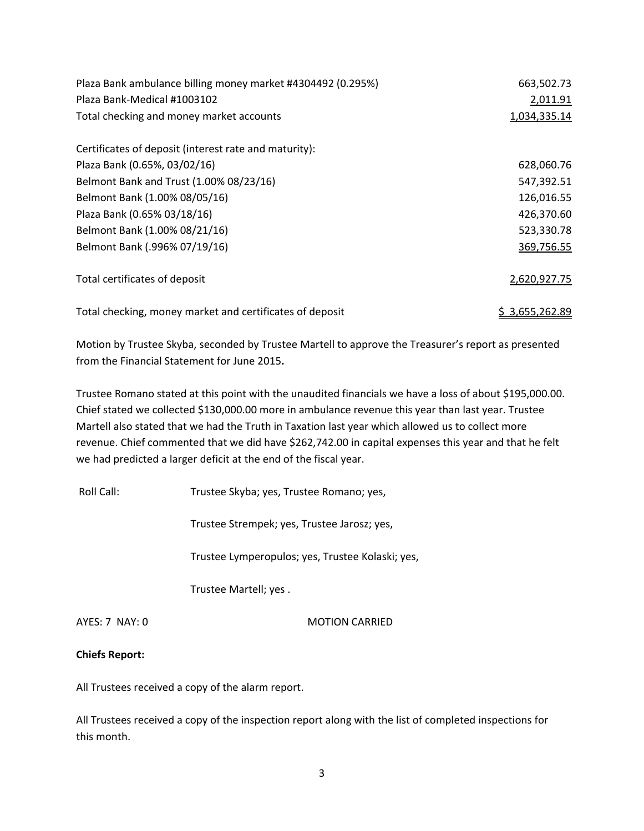| Plaza Bank ambulance billing money market #4304492 (0.295%) | 663,502.73   |
|-------------------------------------------------------------|--------------|
| Plaza Bank-Medical #1003102                                 | 2,011.91     |
| Total checking and money market accounts                    | 1,034,335.14 |
| Certificates of deposit (interest rate and maturity):       |              |
| Plaza Bank (0.65%, 03/02/16)                                | 628,060.76   |
| Belmont Bank and Trust (1.00% 08/23/16)                     | 547,392.51   |
| Belmont Bank (1.00% 08/05/16)                               | 126,016.55   |
| Plaza Bank (0.65% 03/18/16)                                 | 426,370.60   |
| Belmont Bank (1.00% 08/21/16)                               | 523,330.78   |
| Belmont Bank (.996% 07/19/16)                               | 369,756.55   |
| Total certificates of deposit                               | 2,620,927.75 |
| Total checking, money market and certificates of deposit    | 3,655,262.89 |

Motion by Trustee Skyba, seconded by Trustee Martell to approve the Treasurer's report as presented from the Financial Statement for June 2015**.** 

Trustee Romano stated at this point with the unaudited financials we have a loss of about \$195,000.00. Chief stated we collected \$130,000.00 more in ambulance revenue this year than last year. Trustee Martell also stated that we had the Truth in Taxation last year which allowed us to collect more revenue. Chief commented that we did have \$262,742.00 in capital expenses this year and that he felt we had predicted a larger deficit at the end of the fiscal year.

Roll Call: Trustee Skyba; yes, Trustee Romano; yes,

Trustee Strempek; yes, Trustee Jarosz; yes,

Trustee Lymperopulos; yes, Trustee Kolaski; yes,

Trustee Martell; yes .

AYES: 7 NAY: 0 MOTION CARRIED

## **Chiefs Report:**

All Trustees received a copy of the alarm report.

All Trustees received a copy of the inspection report along with the list of completed inspections for this month.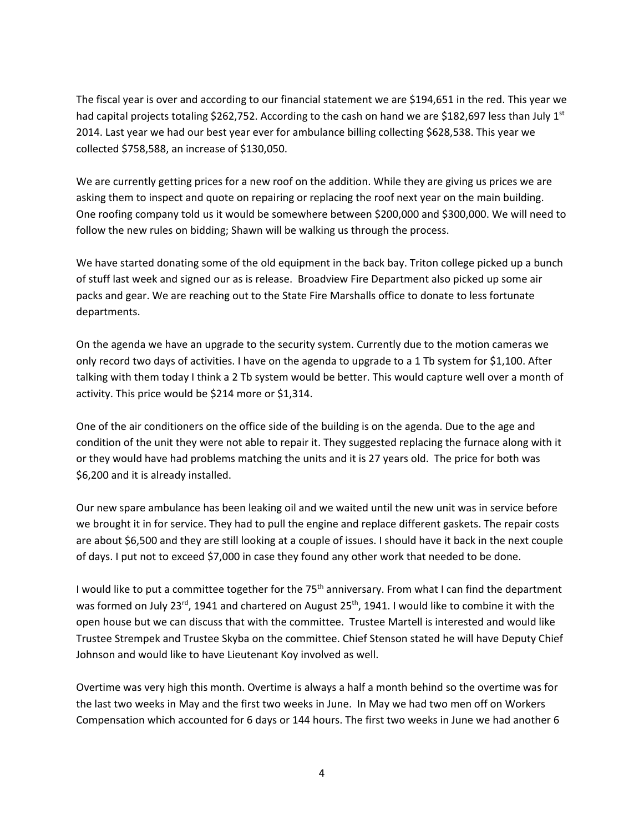The fiscal year is over and according to our financial statement we are \$194,651 in the red. This year we had capital projects totaling \$262,752. According to the cash on hand we are \$182,697 less than July 1st 2014. Last year we had our best year ever for ambulance billing collecting \$628,538. This year we collected \$758,588, an increase of \$130,050.

We are currently getting prices for a new roof on the addition. While they are giving us prices we are asking them to inspect and quote on repairing or replacing the roof next year on the main building. One roofing company told us it would be somewhere between \$200,000 and \$300,000. We will need to follow the new rules on bidding; Shawn will be walking us through the process.

We have started donating some of the old equipment in the back bay. Triton college picked up a bunch of stuff last week and signed our as is release. Broadview Fire Department also picked up some air packs and gear. We are reaching out to the State Fire Marshalls office to donate to less fortunate departments.

On the agenda we have an upgrade to the security system. Currently due to the motion cameras we only record two days of activities. I have on the agenda to upgrade to a 1 Tb system for \$1,100. After talking with them today I think a 2 Tb system would be better. This would capture well over a month of activity. This price would be \$214 more or \$1,314.

One of the air conditioners on the office side of the building is on the agenda. Due to the age and condition of the unit they were not able to repair it. They suggested replacing the furnace along with it or they would have had problems matching the units and it is 27 years old. The price for both was \$6,200 and it is already installed.

Our new spare ambulance has been leaking oil and we waited until the new unit was in service before we brought it in for service. They had to pull the engine and replace different gaskets. The repair costs are about \$6,500 and they are still looking at a couple of issues. I should have it back in the next couple of days. I put not to exceed \$7,000 in case they found any other work that needed to be done.

I would like to put a committee together for the 75<sup>th</sup> anniversary. From what I can find the department was formed on July 23<sup>rd</sup>, 1941 and chartered on August 25<sup>th</sup>, 1941. I would like to combine it with the open house but we can discuss that with the committee. Trustee Martell is interested and would like Trustee Strempek and Trustee Skyba on the committee. Chief Stenson stated he will have Deputy Chief Johnson and would like to have Lieutenant Koy involved as well.

Overtime was very high this month. Overtime is always a half a month behind so the overtime was for the last two weeks in May and the first two weeks in June. In May we had two men off on Workers Compensation which accounted for 6 days or 144 hours. The first two weeks in June we had another 6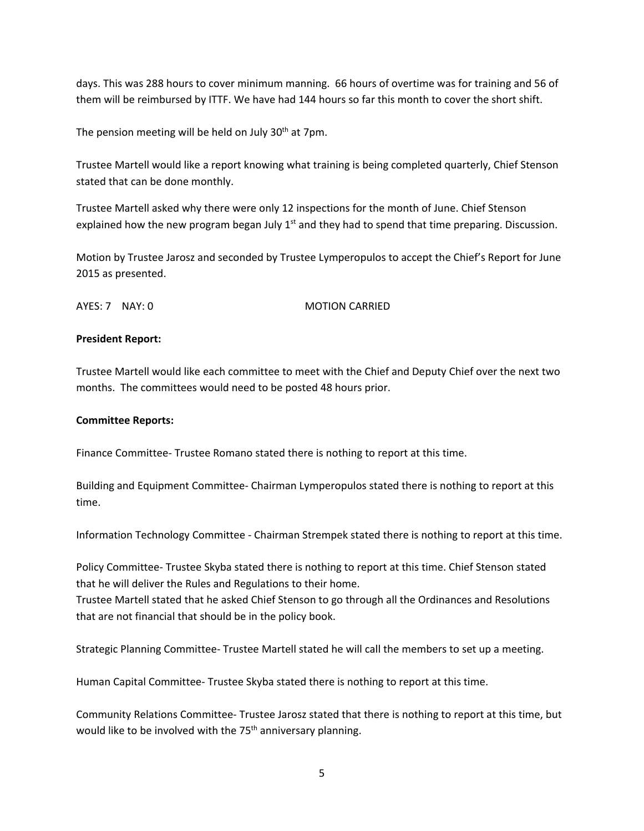days. This was 288 hours to cover minimum manning. 66 hours of overtime was for training and 56 of them will be reimbursed by ITTF. We have had 144 hours so far this month to cover the short shift.

The pension meeting will be held on July 30<sup>th</sup> at 7pm.

Trustee Martell would like a report knowing what training is being completed quarterly, Chief Stenson stated that can be done monthly.

Trustee Martell asked why there were only 12 inspections for the month of June. Chief Stenson explained how the new program began July  $1<sup>st</sup>$  and they had to spend that time preparing. Discussion.

Motion by Trustee Jarosz and seconded by Trustee Lymperopulos to accept the Chief's Report for June 2015 as presented.

AYES: 7 NAY: 0 MOTION CARRIED

### **President Report:**

Trustee Martell would like each committee to meet with the Chief and Deputy Chief over the next two months. The committees would need to be posted 48 hours prior.

### **Committee Reports:**

Finance Committee- Trustee Romano stated there is nothing to report at this time.

Building and Equipment Committee- Chairman Lymperopulos stated there is nothing to report at this time.

Information Technology Committee - Chairman Strempek stated there is nothing to report at this time.

Policy Committee- Trustee Skyba stated there is nothing to report at this time. Chief Stenson stated that he will deliver the Rules and Regulations to their home.

Trustee Martell stated that he asked Chief Stenson to go through all the Ordinances and Resolutions that are not financial that should be in the policy book.

Strategic Planning Committee- Trustee Martell stated he will call the members to set up a meeting.

Human Capital Committee- Trustee Skyba stated there is nothing to report at this time.

Community Relations Committee- Trustee Jarosz stated that there is nothing to report at this time, but would like to be involved with the 75<sup>th</sup> anniversary planning.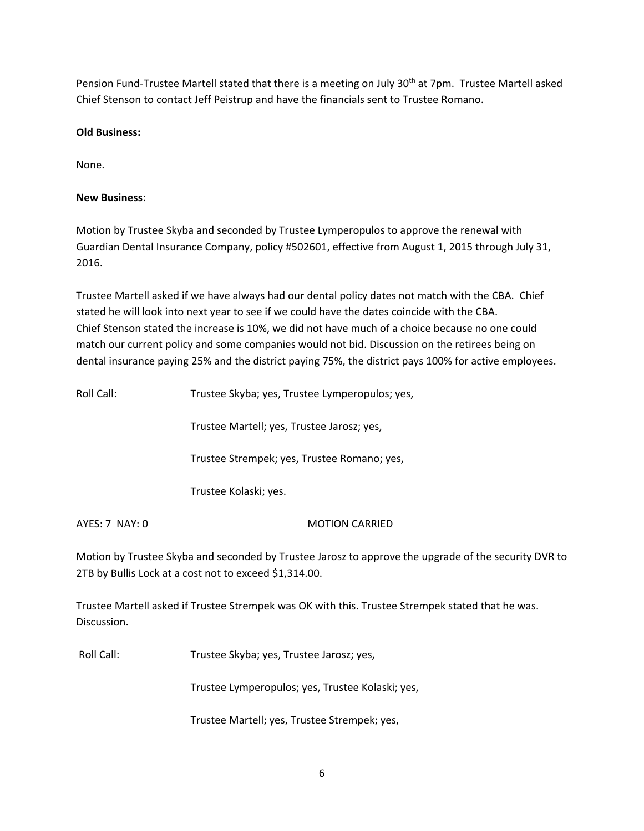Pension Fund-Trustee Martell stated that there is a meeting on July 30<sup>th</sup> at 7pm. Trustee Martell asked Chief Stenson to contact Jeff Peistrup and have the financials sent to Trustee Romano.

## **Old Business:**

None.

## **New Business**:

Motion by Trustee Skyba and seconded by Trustee Lymperopulos to approve the renewal with Guardian Dental Insurance Company, policy #502601, effective from August 1, 2015 through July 31, 2016.

Trustee Martell asked if we have always had our dental policy dates not match with the CBA. Chief stated he will look into next year to see if we could have the dates coincide with the CBA. Chief Stenson stated the increase is 10%, we did not have much of a choice because no one could match our current policy and some companies would not bid. Discussion on the retirees being on dental insurance paying 25% and the district paying 75%, the district pays 100% for active employees.

Roll Call: Trustee Skyba; yes, Trustee Lymperopulos; yes,

Trustee Martell; yes, Trustee Jarosz; yes,

Trustee Strempek; yes, Trustee Romano; yes,

Trustee Kolaski; yes.

AYES: 7 NAY: 0 MOTION CARRIED

Motion by Trustee Skyba and seconded by Trustee Jarosz to approve the upgrade of the security DVR to 2TB by Bullis Lock at a cost not to exceed \$1,314.00.

Trustee Martell asked if Trustee Strempek was OK with this. Trustee Strempek stated that he was. Discussion.

Roll Call: Trustee Skyba; yes, Trustee Jarosz; yes,

Trustee Lymperopulos; yes, Trustee Kolaski; yes,

Trustee Martell; yes, Trustee Strempek; yes,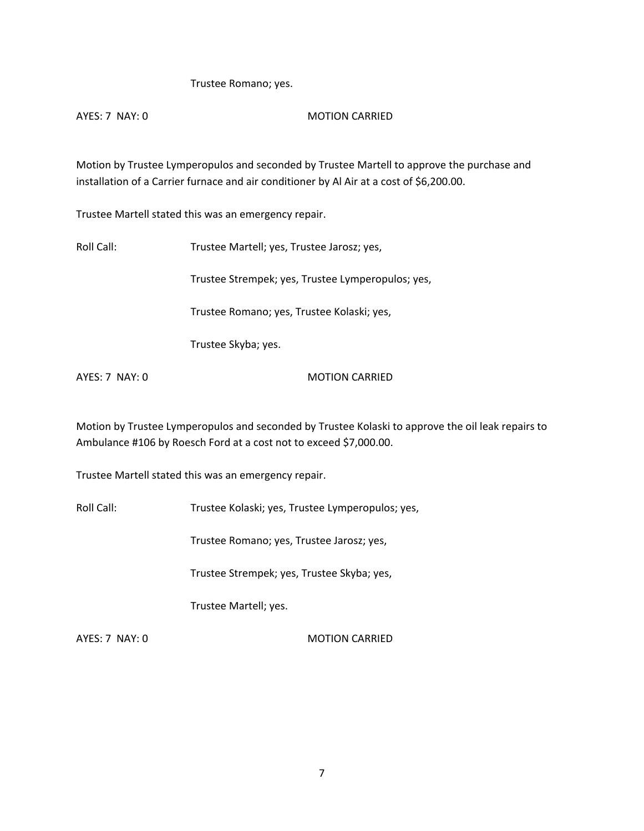## Trustee Romano; yes.

## AYES: 7 NAY: 0 MOTION CARRIED

Motion by Trustee Lymperopulos and seconded by Trustee Martell to approve the purchase and installation of a Carrier furnace and air conditioner by Al Air at a cost of \$6,200.00.

Trustee Martell stated this was an emergency repair.

Roll Call: Trustee Martell; yes, Trustee Jarosz; yes,

Trustee Strempek; yes, Trustee Lymperopulos; yes,

Trustee Romano; yes, Trustee Kolaski; yes,

Trustee Skyba; yes.

AYES: 7 NAY: 0 MOTION CARRIED

Motion by Trustee Lymperopulos and seconded by Trustee Kolaski to approve the oil leak repairs to Ambulance #106 by Roesch Ford at a cost not to exceed \$7,000.00.

Trustee Martell stated this was an emergency repair.

Roll Call: Trustee Kolaski; yes, Trustee Lymperopulos; yes,

Trustee Romano; yes, Trustee Jarosz; yes,

Trustee Strempek; yes, Trustee Skyba; yes,

Trustee Martell; yes.

AYES: 7 NAY: 0 MOTION CARRIED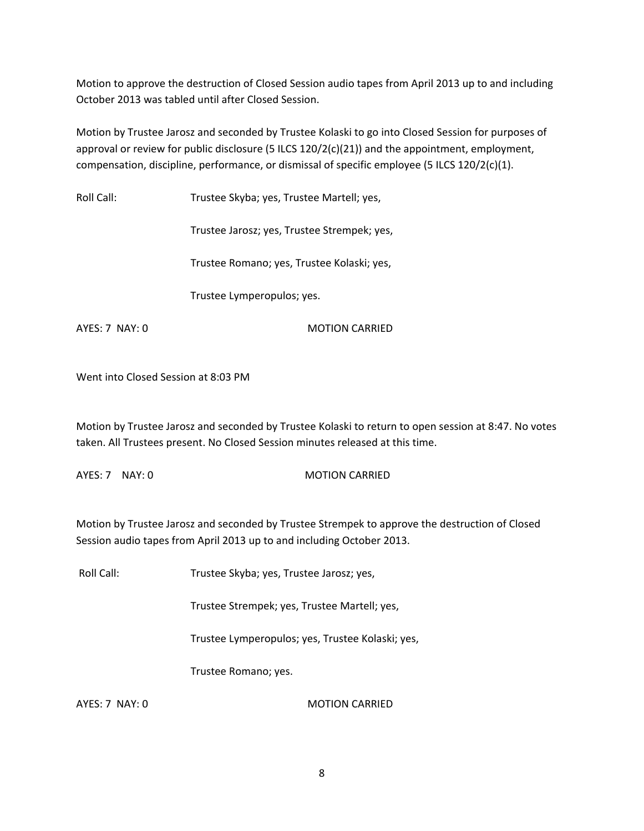Motion to approve the destruction of Closed Session audio tapes from April 2013 up to and including October 2013 was tabled until after Closed Session.

Motion by Trustee Jarosz and seconded by Trustee Kolaski to go into Closed Session for purposes of approval or review for public disclosure (5 ILCS 120/2(c)(21)) and the appointment, employment, compensation, discipline, performance, or dismissal of specific employee (5 ILCS 120/2(c)(1).

Roll Call: Trustee Skyba; yes, Trustee Martell; yes,

Trustee Jarosz; yes, Trustee Strempek; yes,

Trustee Romano; yes, Trustee Kolaski; yes,

Trustee Lymperopulos; yes.

AYES: 7 NAY: 0 MOTION CARRIED

Went into Closed Session at 8:03 PM

Motion by Trustee Jarosz and seconded by Trustee Kolaski to return to open session at 8:47. No votes taken. All Trustees present. No Closed Session minutes released at this time.

AYES: 7 NAY: 0 MOTION CARRIED

Motion by Trustee Jarosz and seconded by Trustee Strempek to approve the destruction of Closed Session audio tapes from April 2013 up to and including October 2013.

Roll Call: Trustee Skyba; yes, Trustee Jarosz; yes,

Trustee Strempek; yes, Trustee Martell; yes,

Trustee Lymperopulos; yes, Trustee Kolaski; yes,

Trustee Romano; yes.

AYES: 7 NAY: 0 MOTION CARRIED